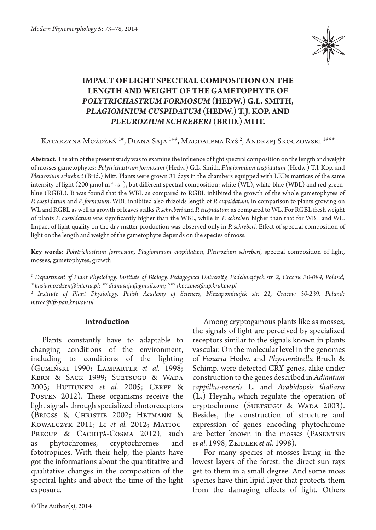

# **IMPACT OF LIGHT SPECTRAL COMPOSITION ON THE LENGTH AND WEIGHT OF THE GAMETOPHYTE OF**  *POLYTRICHASTRUM FORMOSUM* **(HEDW.) G.L. SMITH,**  *PLAGIOMNIUM CUSPIDATUM* **(HEDW.) T.J. KOP. AND**  *PLEUROZIUM SCHREBERI* **(BRID.) MITT.**

Katarzyna Możdżeń <sup>1\*</sup>, Diana Saja <sup>1\*\*</sup>, Magdalena Ryś <sup>2</sup>, Andrzej Skoczowski <sup>1\*\*\*</sup>

**Abstract.** The aim of the present study was to examine the influence of light spectral composition on the length and weight of mosses gametophytes: *Polytrichastrum formosum* (Hedw.) G.L. Smith, *Plagiomnium cuspidatum* (Hedw.) T.J. Kop. and *Pleurozium schreberi* (Brid.) Mitt. Plants were grown 31 days in the chambers equipped with LEDs matrices of the same intensity of light (200 µmol m<sup>-2</sup> · s<sup>-1</sup>), but different spectral composition: white (WL), white-blue (WBL) and red-greenblue (RGBL). It was found that the WBL as compared to RGBL inhibited the growth of the whole gametophytes of *P. cuspidatum* and *P. formosum*. WBL inhibited also rhizoids length of *P. cupsidatum*, in comparison to plants growing on WL and RGBL as well as growth of leaves stalks *P. schreberi* and *P. cuspidatum* as compared to WL. For RGBL fresh weight of plants *P. cuspidatum* was significantly higher than the WBL, while in *P. schreberi* higher than that for WBL and WL. Impact of light quality on the dry matter production was observed only in *P. schreberi*. Effect of spectral composition of light on the length and weight of the gametophyte depends on the species of moss.

**Key words:** *Polytrichastrum formosum, Plagiomnium cuspidatum, Pleurozium schreberi*, spectral composition of light, mosses, gametophytes, growth

*1 Department of Plant Physiology, Institute of Biology, Pedagogical University, Podchorążych str. 2, Cracow 30-084, Poland;* 

*\* kasiamozdzen@interia.pl; \*\* dianasaja@gmail.com; \*\*\* skoczows@up.krakow.pl*

*2 Institute of Plant Physiology, Polish Academy of Sciences, Niezapominajek str. 21, Cracow 30-239, Poland; mtroc@ifr-pan.krakow.pl*

# **Introduction**

Plants constantly have to adaptable to changing conditions of the environment, including to conditions of the lighting (Gumiński 1990; Lamparter *et al.* 1998; KERN & SACK 1999; SUETSUGU & WADA 2003; HUTTUNEN *et al.* 2005; CERFF & POSTEN 2012). These organisms receive the light signals through specialized photoreceptors (Brigss & Christie 2002; Hetmann & KOWALCZYK 2011; LI et al. 2012; MATIOC-PRECUP & CACHIȚĂ-COSMA 2012), such as phytochromes, cryptochromes and fototropines. With their help, the plants have got the informations about the quantitative and qualitative changes in the composition of the spectral lights and about the time of the light exposure.

Among cryptogamous plants like as mosses, the signals of light are perceived by specialized receptors similar to the signals known in plants vascular. On the molecular level in the genomes of *Funaria* Hedw. and *Physcomitrella* Bruch & Schimp. were detected CRY genes, alike under construction to the genes described in *Adiantum cappillus-veneris* L. and *Arabidopsis thaliana*  (L.) Heynh., which regulate the operation of cryptochrome (SUETSUGU & WADA 2003). Besides, the construction of structure and expression of genes encoding phytochrome are better known in the mosses (PASENTSIS *et al.* 1998; Zeidler *et al.* 1998).

For many species of mosses living in the lowest layers of the forest, the direct sun rays get to them in a small degree. And some moss species have thin lipid layer that protects them from the damaging effects of light. Others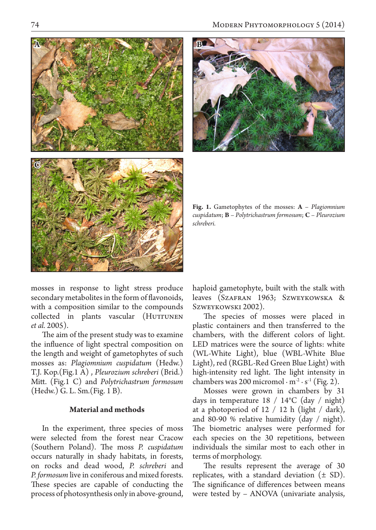



**Fig. 1.** Gametophytes of the mosses: **A** – *Plagiomnium cuspidatum*; **B** – *Polytrichastrum formosum*; **C** – *Pleurozium schreberi.*

mosses in response to light stress produce secondary metabolites in the form of flavonoids, with a composition similar to the compounds collected in plants vascular (HUTTUNEN *et al.* 2005).

The aim of the present study was to examine the influence of light spectral composition on the length and weight of gametophytes of such mosses as: *Plagiomnium cuspidatum* (Hedw.) T.J. Kop.(Fig.1 A) , *Pleurozium schreberi* (Brid.) Mitt. (Fig.1 C) and *Polytrichastrum formosum*  (Hedw.) G. L. Sm.(Fig. 1 B).

# **Material and methods**

In the experiment, three species of moss were selected from the forest near Cracow (Southern Poland). The moss *P. cuspidatum* occurs naturally in shady habitats, in forests, on rocks and dead wood, *P. schreberi* and *P. formosum* live in coniferous and mixed forests. These species are capable of conducting the process of photosynthesis only in above-ground, haploid gametophyte, built with the stalk with leaves (Szafran 1963; Szweykowska & Szweykowski 2002).

The species of mosses were placed in plastic containers and then transferred to the chambers, with the different colors of light. LED matrices were the source of lights: white (WL-White Light), blue (WBL-White Blue Light), red (RGBL-Red Green Blue Light) with high-intensity red light. The light intensity in chambers was 200 micromol  $\cdot$  m<sup>-2</sup>  $\cdot$  s<sup>-1</sup> (Fig. 2).

Mosses were grown in chambers by 31 days in temperature  $18 / 14$ °C (day / night) at a photoperiod of  $12 / 12$  h (light / dark), and 80-90 % relative humidity (day / night). The biometric analyses were performed for each species on the 30 repetitions, between individuals the similar most to each other in terms of morphology.

The results represent the average of 30 replicates, with a standard deviation  $(\pm SD)$ . The significance of differences between means were tested by – ANOVA (univariate analysis,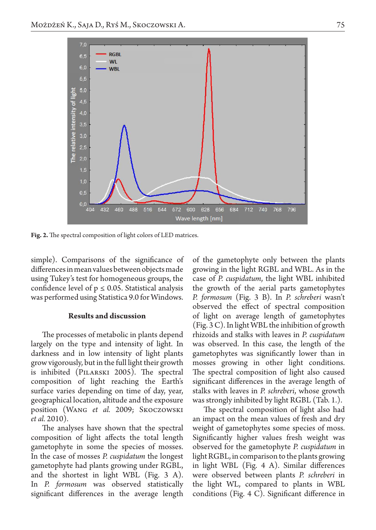

**Fig. 2.** The spectral composition of light colors of LED matrices.

simple). Comparisons of the significance of differences in mean values between objects made using Tukey's test for homogeneous groups, the confidence level of  $p \leq 0.05$ . Statistical analysis was performed using Statistica 9.0 for Windows.

#### **Results and discussion**

The processes of metabolic in plants depend largely on the type and intensity of light. In darkness and in low intensity of light plants grow vigorously, but in the full light their growth is inhibited (Pilarski 2005). The spectral composition of light reaching the Earth's surface varies depending on time of day, year, geographical location, altitude and the exposure position (Wang *et al.* 2009; Skoczowski *et al.* 2010).

The analyses have shown that the spectral composition of light affects the total length gametophyte in some the species of mosses. In the case of mosses *P. cuspidatum* the longest gametophyte had plants growing under RGBL, and the shortest in light WBL (Fig. 3 A). In *P. formosum* was observed statistically significant differences in the average length of the gametophyte only between the plants growing in the light RGBL and WBL. As in the case of *P. cuspidatum*, the light WBL inhibited the growth of the aerial parts gametophytes *P. formosum* (Fig. 3 B). In *P. schreberi* wasn't observed the effect of spectral composition of light on average length of gametophytes (Fig. 3 C). In light WBL the inhibition of growth rhizoids and stalks with leaves in *P. cuspidatum*  was observed. In this case, the length of the gametophytes was significantly lower than in mosses growing in other light conditions. The spectral composition of light also caused significant differences in the average length of stalks with leaves in *P. schreberi*, whose growth was strongly inhibited by light RGBL (Tab. 1.).

The spectral composition of light also had an impact on the mean values of fresh and dry weight of gametophytes some species of moss. Significantly higher values fresh weight was observed for the gametophyte *P. cuspidatum* in light RGBL, in comparison to the plants growing in light WBL (Fig. 4 A). Similar differences were observed between plants *P. schreberi* in the light WL, compared to plants in WBL conditions (Fig. 4 C). Significant difference in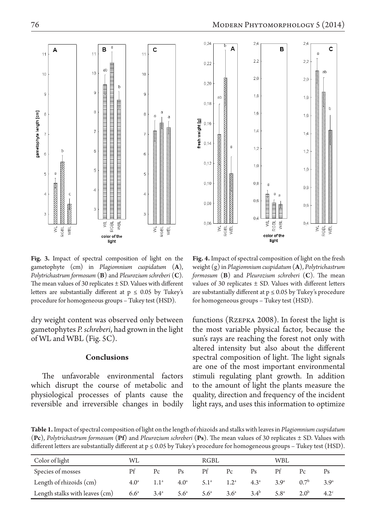

**Fig. 3.** Impact of spectral composition of light on the gametophyte (cm) in *Plagiomnium cuspidatum* (**A**), *Polytrichastrum formosum* (**B**) and *Pleurozium schreberi* (**C**). The mean values of 30 replicates  $\pm$  SD. Values with different letters are substantially different at  $p \le 0.05$  by Tukey's procedure for homogeneous groups – Tukey test (HSD).

dry weight content was observed only between gametophytes *P. schreberi*, had grown in the light of WL and WBL (Fig. 5C).

### **Conclusions**

The unfavorable environmental factors which disrupt the course of metabolic and physiological processes of plants cause the reversible and irreversible changes in bodily

**Fig. 4.** Impact of spectral composition of light on the fresh weight (g) in *Plagiomnium cuspidatum* (**A**), *Polytrichastrum formosum* (**B**) and *Pleurozium schreberi* (**C**). The mean values of 30 replicates ± SD. Values with different letters are substantially different at  $p \le 0.05$  by Tukey's procedure for homogeneous groups – Tukey test (HSD).

functions (Rzepka 2008). In forest the light is the most variable physical factor, because the sun's rays are reaching the forest not only with altered intensity but also about the different spectral composition of light. The light signals are one of the most important environmental stimuli regulating plant growth. In addition to the amount of light the plants measure the quality, direction and frequency of the incident light rays, and uses this information to optimize

**Table 1.** Impact of spectral composition of light on the length of rhizoids and stalks with leaves in *Plagiomnium cuspidatum*  (**Pc**), *Polytrichastrum formosum* (**Pf**) and *Pleurozium schreberi* (**Ps**). The mean values of 30 replicates ± SD. Values with different letters are substantially different at  $p \le 0.05$  by Tukey's procedure for homogeneous groups – Tukey test (HSD).

| Color of light                 | WL               |               |                                   | RGBL          |                  |               | WBL             |                  |                  |
|--------------------------------|------------------|---------------|-----------------------------------|---------------|------------------|---------------|-----------------|------------------|------------------|
| Species of mosses              | Рf               | Pc            | Ps                                | Pf            | $P_C$            | $P_S$         |                 | $P_C$            | Ps               |
| Length of rhizoids (cm)        | 4.0 <sup>a</sup> | $1.1^{\circ}$ | $4.0^{\text{a}}$ $5.1^{\text{a}}$ |               | 1.2 <sup>a</sup> | $4.3^{\circ}$ | 3Q <sup>a</sup> | 0.7 <sup>b</sup> | 3.9 <sup>a</sup> |
| Length stalks with leaves (cm) | $6.6^{\circ}$    | $3.4^{\circ}$ | $5.6^{\circ}$                     | $5.6^{\circ}$ | 3.6 <sup>a</sup> | $3.4^{b}$     | $5.8^{\circ}$   | 2.0 <sup>b</sup> | 4.2 <sup>c</sup> |

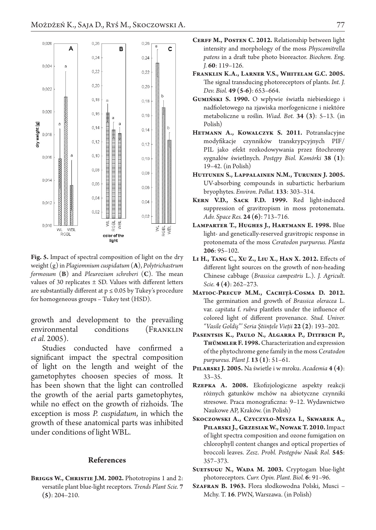

**Fig. 5.** Impact of spectral composition of light on the dry weight (g) in *Plagiomnium cuspidatum* (**A**), *Polytrichastrum formosum* (**B**) and *Pleurozium schreberi* (**C**). The mean values of 30 replicates  $\pm$  SD. Values with different letters are substantially different at  $p \le 0.05$  by Tukey's procedure for homogeneous groups – Tukey test (HSD).

growth and development to the prevailing environmental conditions (FRANKLIN *et al.* 2005).

Studies conducted have confirmed a significant impact the spectral composition of light on the length and weight of the gametophytes choosen species of moss. It has been shown that the light can controlled the growth of the aerial parts gametophytes, while no effect on the growth of rizhoids. The exception is moss *P. cuspidatum*, in which the growth of these anatomical parts was inhibited under conditions of light WBL.

## **References**

**Briggs W., Christie J.M. 2002.** Phototropins 1 and 2: versatile plant blue-light receptors. *Trends Plant Scie.* **7 (5)**: 204–210.

- CERFF M., POSTEN C. 2012. Relationship between light intensity and morphology of the moss *Physcomitrella patens* in a draft tube photo bioreactor. *Biochem. Eng. J.* **60**: 119–126.
- **Franklin K.A., Larner V.S., Whitelam G.C. 2005.**  The signal transducing photoreceptors of plants. *Int. J. Dev. Biol.* **49 (5-6)**: 653–664.
- **Gumiński S. 1990.** O wpływie światła niebieskiego i nadfioletowego na zjawiska morfogeniczne i niektóre metaboliczne u roślin. *Wiad. Bot.* **34 (3)**: 5–13. (in Polish)
- **Hetmann A., Kowalczyk S. 2011.** Potranslacyjne modyfikacje czynników transkrypcyjnych PIF/ PIL jako efekt rozkodowywania przez fitochromy sygnałów świetlnych. *Postępy Biol. Komórki* **38 (1)**: 19–42. (in Polish)
- **Huttunen S., Lappalainen N.M., Turunen J. 2005.** UV-absorbing compounds in subartictic herbarium bryophytes. *Environ. Pollut.* **133**: 303–314.
- **Kern V.D., Sack F.D. 1999.** Red light-induced suppression of gravitropism in moss protonemata. *Adv. Space Res.* **24 (6)**: 713–716.
- **Lamparter T., Hughes J., Hartmann E. 1998.** Blue light- and genetically-reserved gravitropic response in protonemata of the moss *Ceratodon purpureus. Planta*  **206**: 95–102.
- **Li H., Tang C., Xu Z., Liu X., Han X. 2012.** Effects of different light sources on the growth of non-heading Chinese cabbage (*Brassica campestris* L.). *J. Agricult. Scie.* **4 (4)**: 262–273.
- **Matioc-Precup M.M., Cachiţă-Cosma D. 2012.** The germination and growth of *Brassica oleracea* L. var. *capitata* f. *rubra* plantlets under the influence of colored light of different provenance. *Stud. Univer. "Vasile Goldiş"' Seria Ştiinţele Vieţii* **22 (2)**: 193–202.
- **Pasentsis K., Paulo N., Algarra P., Dittrich P., Thümmler F. 1998.** Characterization and expression of the phytochrome gene family in the moss *Ceratodon purpureus. Plant J.* **13 (1)**: 51–61.
- **Pilarski J. 2005.** Na świetle i w mroku. *Academia* **4 (4)**: 33–35.
- **Rzepka A. 2008.** Ekofizjologiczne aspekty reakcji różnych gatunków mchów na abiotyczne czynniki stresowe. Praca monograficzna: 9–12. Wydawnictwo Naukowe AP, Kraków. (in Polish)
- **Skoczowski A., Czyczyło-Mysza I., Skwarek A., Pilarski J., Grzesiak W., Nowak T. 2010.** Impact of light spectra composition and ozone fumigation on chlorophyll content changes and optical properties of broccoli leaves. *Zesz. Probl. Postępów Nauk Rol.* **545**: 357–373.
- Suersugu N., WADA M. 2003. Cryptogam blue-light photoreceptors. *Curr. Opin. Plant. Biol.* **6**: 91–96.
- **Szafran B. 1963.** Flora słodkowodna Polski, Musci Mchy. T. **16**. PWN, Warszawa. (in Polish)